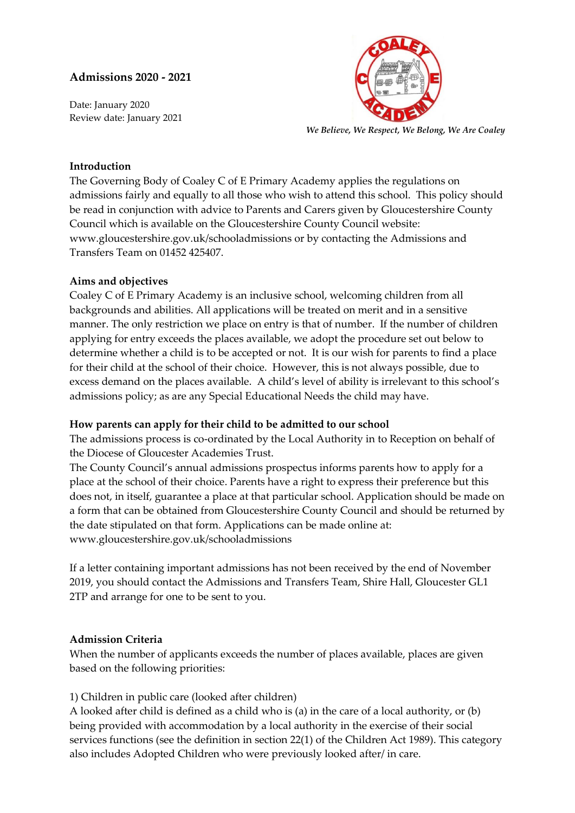# **Admissions 2020 - 2021**

Date: January 2020 Review date: January 2021



*We Believe, We Respect, We Belong, We Are Coaley*

## **Introduction**

The Governing Body of Coaley C of E Primary Academy applies the regulations on admissions fairly and equally to all those who wish to attend this school. This policy should be read in conjunction with advice to Parents and Carers given by Gloucestershire County Council which is available on the Gloucestershire County Council website: www.gloucestershire.gov.uk/schooladmissions or by contacting the Admissions and Transfers Team on 01452 425407.

## **Aims and objectives**

Coaley C of E Primary Academy is an inclusive school, welcoming children from all backgrounds and abilities. All applications will be treated on merit and in a sensitive manner. The only restriction we place on entry is that of number. If the number of children applying for entry exceeds the places available, we adopt the procedure set out below to determine whether a child is to be accepted or not. It is our wish for parents to find a place for their child at the school of their choice. However, this is not always possible, due to excess demand on the places available. A child's level of ability is irrelevant to this school's admissions policy; as are any Special Educational Needs the child may have.

#### **How parents can apply for their child to be admitted to our school**

The admissions process is co-ordinated by the Local Authority in to Reception on behalf of the Diocese of Gloucester Academies Trust.

The County Council's annual admissions prospectus informs parents how to apply for a place at the school of their choice. Parents have a right to express their preference but this does not, in itself, guarantee a place at that particular school. Application should be made on a form that can be obtained from Gloucestershire County Council and should be returned by the date stipulated on that form. Applications can be made online at: www.gloucestershire.gov.uk/schooladmissions

If a letter containing important admissions has not been received by the end of November 2019, you should contact the Admissions and Transfers Team, Shire Hall, Gloucester GL1 2TP and arrange for one to be sent to you.

#### **Admission Criteria**

When the number of applicants exceeds the number of places available, places are given based on the following priorities:

## 1) Children in public care (looked after children)

A looked after child is defined as a child who is (a) in the care of a local authority, or (b) being provided with accommodation by a local authority in the exercise of their social services functions (see the definition in section 22(1) of the Children Act 1989). This category also includes Adopted Children who were previously looked after/ in care.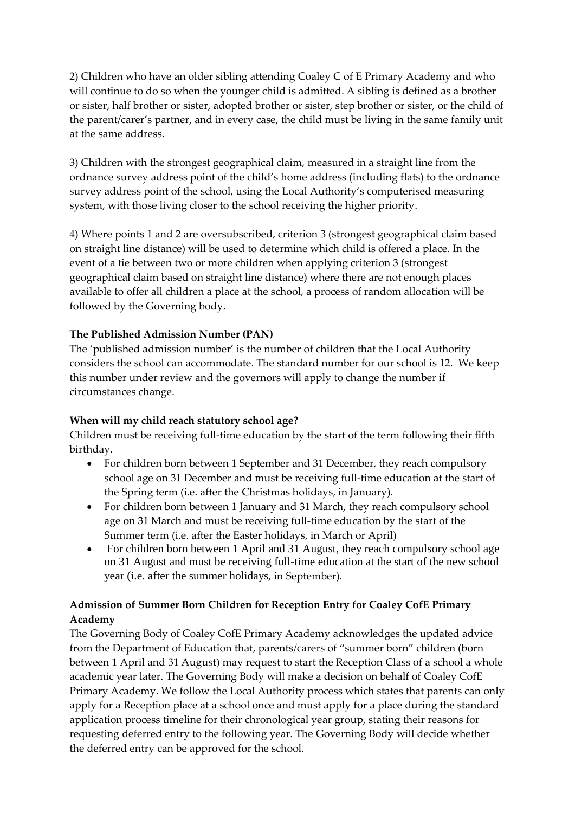2) Children who have an older sibling attending Coaley C of E Primary Academy and who will continue to do so when the younger child is admitted. A sibling is defined as a brother or sister, half brother or sister, adopted brother or sister, step brother or sister, or the child of the parent/carer's partner, and in every case, the child must be living in the same family unit at the same address.

3) Children with the strongest geographical claim, measured in a straight line from the ordnance survey address point of the child's home address (including flats) to the ordnance survey address point of the school, using the Local Authority's computerised measuring system, with those living closer to the school receiving the higher priority.

4) Where points 1 and 2 are oversubscribed, criterion 3 (strongest geographical claim based on straight line distance) will be used to determine which child is offered a place. In the event of a tie between two or more children when applying criterion 3 (strongest geographical claim based on straight line distance) where there are not enough places available to offer all children a place at the school, a process of random allocation will be followed by the Governing body.

# **The Published Admission Number (PAN)**

The 'published admission number' is the number of children that the Local Authority considers the school can accommodate. The standard number for our school is 12. We keep this number under review and the governors will apply to change the number if circumstances change.

# **When will my child reach statutory school age?**

Children must be receiving full-time education by the start of the term following their fifth birthday.

- For children born between 1 September and 31 December, they reach compulsory school age on 31 December and must be receiving full-time education at the start of the Spring term (i.e. after the Christmas holidays, in January).
- For children born between 1 January and 31 March, they reach compulsory school age on 31 March and must be receiving full-time education by the start of the Summer term (i.e. after the Easter holidays, in March or April)
- For children born between 1 April and 31 August, they reach compulsory school age on 31 August and must be receiving full-time education at the start of the new school year (i.e. after the summer holidays, in September).

# **Admission of Summer Born Children for Reception Entry for Coaley CofE Primary Academy**

The Governing Body of Coaley CofE Primary Academy acknowledges the updated advice from the Department of Education that, parents/carers of "summer born" children (born between 1 April and 31 August) may request to start the Reception Class of a school a whole academic year later. The Governing Body will make a decision on behalf of Coaley CofE Primary Academy. We follow the Local Authority process which states that parents can only apply for a Reception place at a school once and must apply for a place during the standard application process timeline for their chronological year group, stating their reasons for requesting deferred entry to the following year. The Governing Body will decide whether the deferred entry can be approved for the school.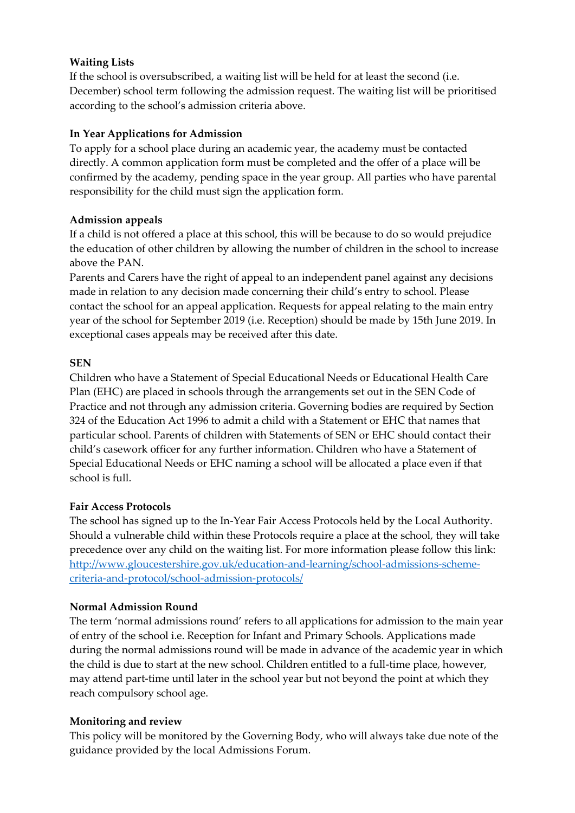## **Waiting Lists**

If the school is oversubscribed, a waiting list will be held for at least the second (i.e. December) school term following the admission request. The waiting list will be prioritised according to the school's admission criteria above.

## **In Year Applications for Admission**

To apply for a school place during an academic year, the academy must be contacted directly. A common application form must be completed and the offer of a place will be confirmed by the academy, pending space in the year group. All parties who have parental responsibility for the child must sign the application form.

### **Admission appeals**

If a child is not offered a place at this school, this will be because to do so would prejudice the education of other children by allowing the number of children in the school to increase above the PAN.

Parents and Carers have the right of appeal to an independent panel against any decisions made in relation to any decision made concerning their child's entry to school. Please contact the school for an appeal application. Requests for appeal relating to the main entry year of the school for September 2019 (i.e. Reception) should be made by 15th June 2019. In exceptional cases appeals may be received after this date.

### **SEN**

Children who have a Statement of Special Educational Needs or Educational Health Care Plan (EHC) are placed in schools through the arrangements set out in the SEN Code of Practice and not through any admission criteria. Governing bodies are required by Section 324 of the Education Act 1996 to admit a child with a Statement or EHC that names that particular school. Parents of children with Statements of SEN or EHC should contact their child's casework officer for any further information. Children who have a Statement of Special Educational Needs or EHC naming a school will be allocated a place even if that school is full.

## **Fair Access Protocols**

The school has signed up to the In-Year Fair Access Protocols held by the Local Authority. Should a vulnerable child within these Protocols require a place at the school, they will take precedence over any child on the waiting list. For more information please follow this link: [http://www.gloucestershire.gov.uk/education-and-learning/school-admissions-scheme](http://www.gloucestershire.gov.uk/education-and-learning/school-admissions-scheme-criteria-and-protocol/school-admission-protocols/)[criteria-and-protocol/school-admission-protocols/](http://www.gloucestershire.gov.uk/education-and-learning/school-admissions-scheme-criteria-and-protocol/school-admission-protocols/)

#### **Normal Admission Round**

The term 'normal admissions round' refers to all applications for admission to the main year of entry of the school i.e. Reception for Infant and Primary Schools. Applications made during the normal admissions round will be made in advance of the academic year in which the child is due to start at the new school. Children entitled to a full-time place, however, may attend part-time until later in the school year but not beyond the point at which they reach compulsory school age.

#### **Monitoring and review**

This policy will be monitored by the Governing Body, who will always take due note of the guidance provided by the local Admissions Forum.